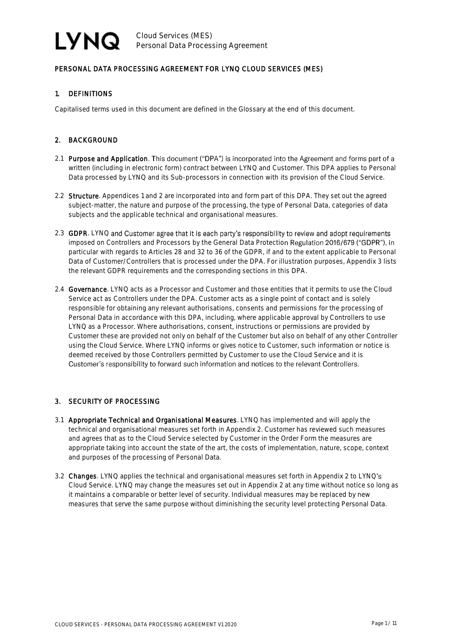## PERSONAL DATA PROCESSING AGREEMENT FOR LYNQ CLOUD SERVICES (MES)

## 1. DEFINITIONS

Capitalised terms used in this document are defined in the Glossary at the end of this document.

## 2. BACKGROUND

- 2.1 Purpose and Application. This document ("DPA") is incorporated into the Agreement and forms part of a written (including in electronic form) contract between LYNQ and Customer. This DPA applies to Personal Data processed by LYNQ and its Sub-processors in connection with its provision of the Cloud Service.
- 2.2 Structure. Appendices 1 and 2 are incorporated into and form part of this DPA. They set out the agreed subject-matter, the nature and purpose of the processing, the type of Personal Data, categories of data subjects and the applicable technical and organisational measures.
- 2.3 GDPR. LYNQ and Customer agree that it is each party's responsibility to review and adopt requirements imposed on Controllers and Processors by the General Data Protection Regulation 2016/679 ("GDPR"), in particular with regards to Articles 28 and 32 to 36 of the GDPR, if and to the extent applicable to Personal Data of Customer/Controllers that is processed under the DPA. For illustration purposes, Appendix 3 lists the relevant GDPR requirements and the corresponding sections in this DPA.
- 2.4 Governance. LYNQ acts as a Processor and Customer and those entities that it permits to use the Cloud Service act as Controllers under the DPA. Customer acts as a single point of contact and is solely responsible for obtaining any relevant authorisations, consents and permissions for the processing of Personal Data in accordance with this DPA, including, where applicable approval by Controllers to use LYNQ as a Processor. Where authorisations, consent, instructions or permissions are provided by Customer these are provided not only on behalf of the Customer but also on behalf of any other Controller using the Cloud Service. Where LYNQ informs or gives notice to Customer, such information or notice is deemed received by those Controllers permitted by Customer to use the Cloud Service and it is Customer's responsibility to forward such information and notices to the relevant Controllers.

## 3. SECURITY OF PROCESSING

- 3.1 Appropriate Technical and Organisational Measures. LYNQ has implemented and will apply the technical and organisational measures set forth in Appendix 2. Customer has reviewed such measures and agrees that as to the Cloud Service selected by Customer in the Order Form the measures are appropriate taking into account the state of the art, the costs of implementation, nature, scope, context and purposes of the processing of Personal Data.
- 3.2 Changes. LYNQ applies the technical and organisational measures set forth in Appendix 2 to LYNQ's Cloud Service. LYNQ may change the measures set out in Appendix 2 at any time without notice so long as it maintains a comparable or better level of security. Individual measures may be replaced by new measures that serve the same purpose without diminishing the security level protecting Personal Data.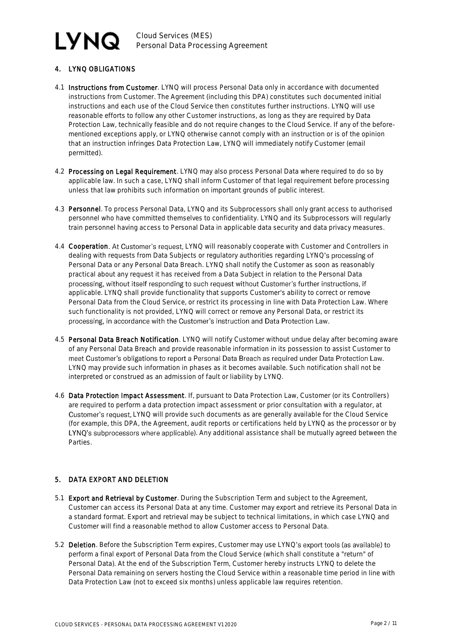## **LYNQ** Cloud Services (MES) Personal Data Processing Agreement

## 4. LYNQ OBLIGATIONS

- 4.1 Instructions from Customer. LYNQ will process Personal Data only in accordance with documented instructions from Customer. The Agreement (including this DPA) constitutes such documented initial instructions and each use of the Cloud Service then constitutes further instructions. LYNQ will use reasonable efforts to follow any other Customer instructions, as long as they are required by Data Protection Law, technically feasible and do not require changes to the Cloud Service. If any of the beforementioned exceptions apply, or LYNQ otherwise cannot comply with an instruction or is of the opinion that an instruction infringes Data Protection Law, LYNQ will immediately notify Customer (email permitted).
- 4.2 Processing on Legal Requirement. LYNQ may also process Personal Data where required to do so by applicable law. In such a case, LYNQ shall inform Customer of that legal requirement before processing unless that law prohibits such information on important grounds of public interest.
- 4.3 Personnel. To process Personal Data, LYNQ and its Subprocessors shall only grant access to authorised personnel who have committed themselves to confidentiality. LYNQ and its Subprocessors will regularly train personnel having access to Personal Data in applicable data security and data privacy measures.
- 4.4 Cooperation. At Customer's request, LYNQ will reasonably cooperate with Customer and Controllers in dealing with requests from Data Subjects or regulatory authorities regarding LYNQ's processing of Personal Data or any Personal Data Breach. LYNQ shall notify the Customer as soon as reasonably practical about any request it has received from a Data Subject in relation to the Personal Data processing, without itself responding to such request without Customer's further instructions, if applicable. LYNQ shall provide functionality that supports Customer's ability to correct or remove Personal Data from the Cloud Service, or restrict its processing in line with Data Protection Law. Where such functionality is not provided, LYNQ will correct or remove any Personal Data, or restrict its processing, in accordance with the Customer's instruction and Data Protection Law.
- 4.5 Personal Data Breach Notification. LYNQ will notify Customer without undue delay after becoming aware of any Personal Data Breach and provide reasonable information in its possession to assist Customer to meet Customer's obligations to report a Personal Data Breach as required under Data Protection Law. LYNQ may provide such information in phases as it becomes available. Such notification shall not be interpreted or construed as an admission of fault or liability by LYNQ.
- 4.6 Data Protection Impact Assessment. If, pursuant to Data Protection Law, Customer (or its Controllers) are required to perform a data protection impact assessment or prior consultation with a regulator, at Customer's request, LYNQ will provide such documents as are generally available for the Cloud Service (for example, this DPA, the Agreement, audit reports or certifications held by LYNQ as the processor or by LYNO's subprocessors where applicable). Any additional assistance shall be mutually agreed between the Parties.

## 5. DATA EXPORT AND DELETION

- 5.1 Export and Retrieval by Customer. During the Subscription Term and subject to the Agreement, Customer can access its Personal Data at any time. Customer may export and retrieve its Personal Data in a standard format. Export and retrieval may be subject to technical limitations, in which case LYNQ and Customer will find a reasonable method to allow Customer access to Personal Data.
- 5.2 Deletion. Before the Subscription Term expires, Customer may use LYNQ's export tools (as available) to perform a final export of Personal Data from the Cloud Service (which shall constitute a "return" of Personal Data). At the end of the Subscription Term, Customer hereby instructs LYNQ to delete the Personal Data remaining on servers hosting the Cloud Service within a reasonable time period in line with Data Protection Law (not to exceed six months) unless applicable law requires retention.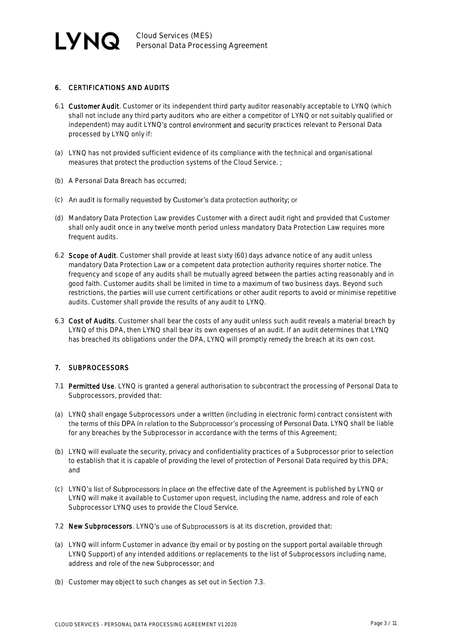## 6. CERTIFICATIONS AND AUDITS

- 6.1 Customer Audit. Customer or its independent third party auditor reasonably acceptable to LYNQ (which shall not include any third party auditors who are either a competitor of LYNQ or not suitably qualified or independent) may audit LYNQ's control environment and security practices relevant to Personal Data processed by LYNQ only if:
- (a) LYNQ has not provided sufficient evidence of its compliance with the technical and organisational measures that protect the production systems of the Cloud Service. ;
- (b) A Personal Data Breach has occurred;
- (c) An audit is formally requested by Customer's data protection authority; or
- (d) Mandatory Data Protection Law provides Customer with a direct audit right and provided that Customer shall only audit once in any twelve month period unless mandatory Data Protection Law requires more frequent audits.
- 6.2 Scope of Audit. Customer shall provide at least sixty (60) days advance notice of any audit unless mandatory Data Protection Law or a competent data protection authority requires shorter notice. The frequency and scope of any audits shall be mutually agreed between the parties acting reasonably and in good faith. Customer audits shall be limited in time to a maximum of two business days. Beyond such restrictions, the parties will use current certifications or other audit reports to avoid or minimise repetitive audits. Customer shall provide the results of any audit to LYNQ.
- 6.3 Cost of Audits. Customer shall bear the costs of any audit unless such audit reveals a material breach by LYNQ of this DPA, then LYNQ shall bear its own expenses of an audit. If an audit determines that LYNQ has breached its obligations under the DPA, LYNQ will promptly remedy the breach at its own cost.

## 7. SUBPROCESSORS

- 7.1 Permitted Use. LYNQ is granted a general authorisation to subcontract the processing of Personal Data to Subprocessors, provided that:
- (a) LYNQ shall engage Subprocessors under a written (including in electronic form) contract consistent with the terms of this DPA in relation to the Subprocessor's processing of Personal Data. LYNQ shall be liable for any breaches by the Subprocessor in accordance with the terms of this Agreement;
- (b) LYNQ will evaluate the security, privacy and confidentiality practices of a Subprocessor prior to selection to establish that it is capable of providing the level of protection of Personal Data required by this DPA; and
- (c) LYNQ's list of Subprocessors in place on the effective date of the Agreement is published by LYNQ or LYNQ will make it available to Customer upon request, including the name, address and role of each Subprocessor LYNQ uses to provide the Cloud Service.
- 7.2 New Subprocessors. LYNQ's use of Subprocessors is at its discretion, provided that:
- (a) LYNQ will inform Customer in advance (by email or by posting on the support portal available through LYNQ Support) of any intended additions or replacements to the list of Subprocessors including name, address and role of the new Subprocessor; and
- (b) Customer may object to such changes as set out in Section 7.3.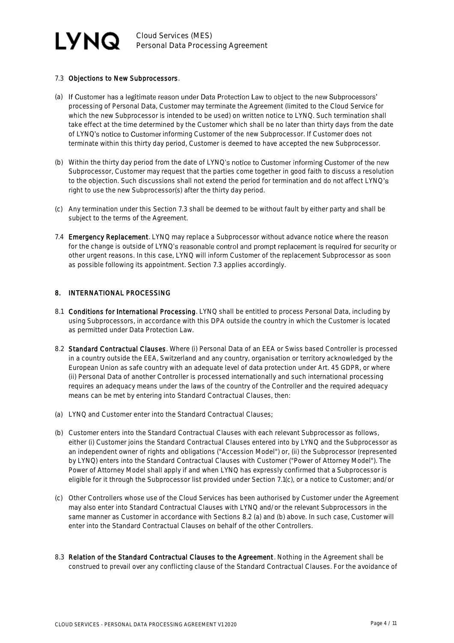

### 7.3 Objections to New Subprocessors.

- (a) If Customer has a legitimate reason under Data Protection Law to object to the new Subprocessors' processing of Personal Data, Customer may terminate the Agreement (limited to the Cloud Service for which the new Subprocessor is intended to be used) on written notice to LYNQ. Such termination shall take effect at the time determined by the Customer which shall be no later than thirty days from the date of LYNQ's notice to Customer informing Customer of the new Subprocessor. If Customer does not terminate within this thirty day period, Customer is deemed to have accepted the new Subprocessor.
- (b) Within the thirty day period from the date of LYNQ's notice to Customer informing Customer of the new Subprocessor, Customer may request that the parties come together in good faith to discuss a resolution to the objection. Such discussions shall not extend the period for termination and do not affect LYNQ's right to use the new Subprocessor(s) after the thirty day period.
- (c) Any termination under this Section 7.3 shall be deemed to be without fault by either party and shall be subject to the terms of the Agreement.
- 7.4 Emergency Replacement. LYNQ may replace a Subprocessor without advance notice where the reason for the change is outside of LYNQ's reasonable control and prompt replacement is required for security or other urgent reasons. In this case, LYNQ will inform Customer of the replacement Subprocessor as soon as possible following its appointment. Section 7.3 applies accordingly.

### 8. INTERNATIONAL PROCESSING

- 8.1 Conditions for International Processing. LYNQ shall be entitled to process Personal Data, including by using Subprocessors, in accordance with this DPA outside the country in which the Customer is located as permitted under Data Protection Law.
- 8.2 Standard Contractual Clauses. Where (i) Personal Data of an EEA or Swiss based Controller is processed in a country outside the EEA, Switzerland and any country, organisation or territory acknowledged by the European Union as safe country with an adequate level of data protection under Art. 45 GDPR, or where (ii) Personal Data of another Controller is processed internationally and such international processing requires an adequacy means under the laws of the country of the Controller and the required adequacy means can be met by entering into Standard Contractual Clauses, then:
- (a) LYNQ and Customer enter into the Standard Contractual Clauses;
- (b) Customer enters into the Standard Contractual Clauses with each relevant Subprocessor as follows, either (i) Customer joins the Standard Contractual Clauses entered into by LYNQ and the Subprocessor as an independent owner of rights and obligations ("Accession Model") or, (ii) the Subprocessor (represented by LYNQ) enters into the Standard Contractual Clauses with Customer ("Power of Attorney Model"). The Power of Attorney Model shall apply if and when LYNQ has expressly confirmed that a Subprocessor is eligible for it through the Subprocessor list provided under Section 7.1(c), or a notice to Customer; and/or
- (c) Other Controllers whose use of the Cloud Services has been authorised by Customer under the Agreement may also enter into Standard Contractual Clauses with LYNQ and/or the relevant Subprocessors in the same manner as Customer in accordance with Sections 8.2 (a) and (b) above. In such case, Customer will enter into the Standard Contractual Clauses on behalf of the other Controllers.
- 8.3 Relation of the Standard Contractual Clauses to the Agreement. Nothing in the Agreement shall be construed to prevail over any conflicting clause of the Standard Contractual Clauses. For the avoidance of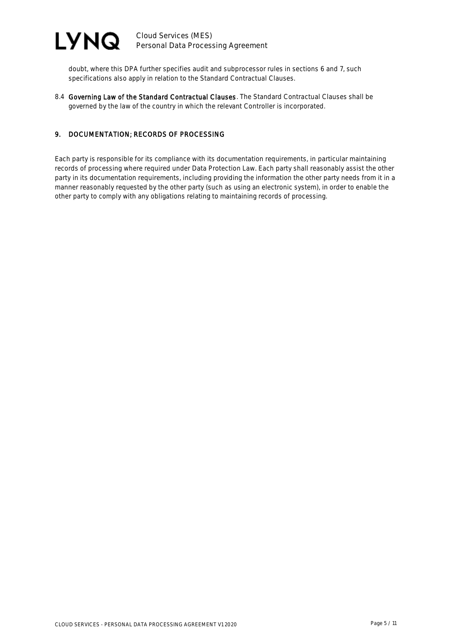

Cloud Services (MES) Personal Data Processing Agreement

doubt, where this DPA further specifies audit and subprocessor rules in sections 6 and 7, such specifications also apply in relation to the Standard Contractual Clauses.

8.4 Governing Law of the Standard Contractual Clauses. The Standard Contractual Clauses shall be governed by the law of the country in which the relevant Controller is incorporated.

## 9. DOCUMENTATION; RECORDS OF PROCESSING

Each party is responsible for its compliance with its documentation requirements, in particular maintaining records of processing where required under Data Protection Law. Each party shall reasonably assist the other party in its documentation requirements, including providing the information the other party needs from it in a manner reasonably requested by the other party (such as using an electronic system), in order to enable the other party to comply with any obligations relating to maintaining records of processing.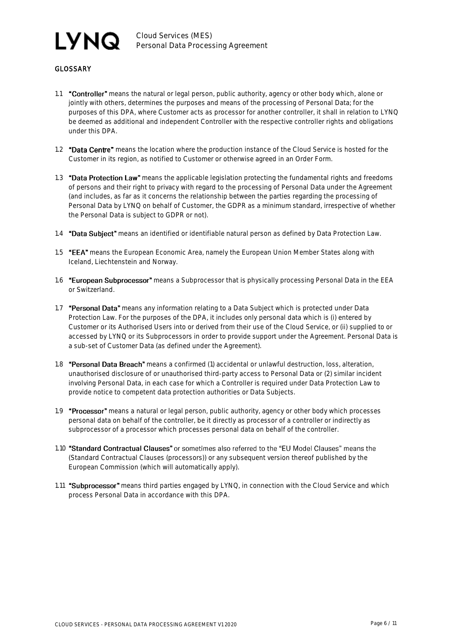# **LYNQ**

Cloud Services (MES) Personal Data Processing Agreement

## **GLOSSARY**

- 1.1 "Controller" means the natural or legal person, public authority, agency or other body which, alone or jointly with others, determines the purposes and means of the processing of Personal Data; for the purposes of this DPA, where Customer acts as processor for another controller, it shall in relation to LYNQ be deemed as additional and independent Controller with the respective controller rights and obligations under this DPA.
- 1.2 "Data Centre" means the location where the production instance of the Cloud Service is hosted for the Customer in its region, as notified to Customer or otherwise agreed in an Order Form.
- 1.3 **"Data Protection Law"** means the applicable legislation protecting the fundamental rights and freedoms of persons and their right to privacy with regard to the processing of Personal Data under the Agreement (and includes, as far as it concerns the relationship between the parties regarding the processing of Personal Data by LYNQ on behalf of Customer, the GDPR as a minimum standard, irrespective of whether the Personal Data is subject to GDPR or not).
- 1.4 **"Data Subject"** means an identified or identifiable natural person as defined by Data Protection Law.
- 1.5 "EEA" means the European Economic Area, namely the European Union Member States along with Iceland, Liechtenstein and Norway.
- 1.6 **"European Subprocessor"** means a Subprocessor that is physically processing Personal Data in the EEA or Switzerland.
- 1.7 **"Personal Data"** means any information relating to a Data Subject which is protected under Data Protection Law. For the purposes of the DPA, it includes only personal data which is (i) entered by Customer or its Authorised Users into or derived from their use of the Cloud Service, or (ii) supplied to or accessed by LYNQ or its Subprocessors in order to provide support under the Agreement. Personal Data is a sub-set of Customer Data (as defined under the Agreement).
- 1.8 **"Personal Data Breach"** means a confirmed (1) accidental or unlawful destruction, loss, alteration, unauthorised disclosure of or unauthorised third-party access to Personal Data or (2) similar incident involving Personal Data, in each case for which a Controller is required under Data Protection Law to provide notice to competent data protection authorities or Data Subjects.
- 1.9 "Processor" means a natural or legal person, public authority, agency or other body which processes personal data on behalf of the controller, be it directly as processor of a controller or indirectly as subprocessor of a processor which processes personal data on behalf of the controller.
- 1.10 "Standard Contractual Clauses" or sometimes also referred to the "EU Model Clauses" means the (Standard Contractual Clauses (processors)) or any subsequent version thereof published by the European Commission (which will automatically apply).
- 1.11 "Subprocessor" means third parties engaged by LYNQ, in connection with the Cloud Service and which process Personal Data in accordance with this DPA.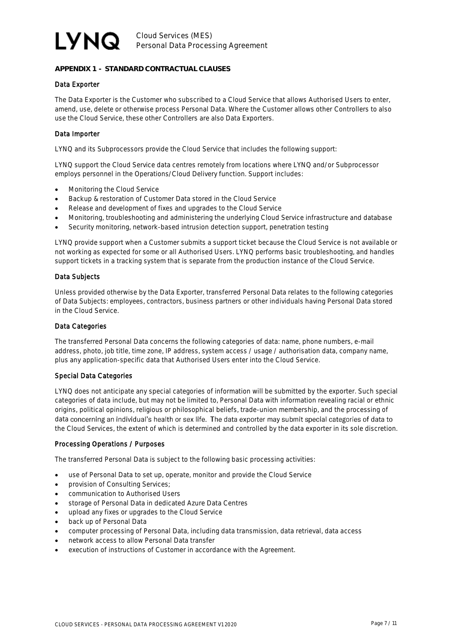# LYNQ.

## **APPENDIX 1 - STANDARD CONTRACTUAL CLAUSES**

### Data Exporter

The Data Exporter is the Customer who subscribed to a Cloud Service that allows Authorised Users to enter, amend, use, delete or otherwise process Personal Data. Where the Customer allows other Controllers to also use the Cloud Service, these other Controllers are also Data Exporters.

### Data Importer

LYNQ and its Subprocessors provide the Cloud Service that includes the following support:

LYNQ support the Cloud Service data centres remotely from locations where LYNQ and/or Subprocessor employs personnel in the Operations/Cloud Delivery function. Support includes:

- Monitoring the Cloud Service
- Backup & restoration of Customer Data stored in the Cloud Service
- Release and development of fixes and upgrades to the Cloud Service
- Monitoring, troubleshooting and administering the underlying Cloud Service infrastructure and database
- Security monitoring, network-based intrusion detection support, penetration testing

LYNQ provide support when a Customer submits a support ticket because the Cloud Service is not available or not working as expected for some or all Authorised Users. LYNQ performs basic troubleshooting, and handles support tickets in a tracking system that is separate from the production instance of the Cloud Service.

### Data Subjects

Unless provided otherwise by the Data Exporter, transferred Personal Data relates to the following categories of Data Subjects: employees, contractors, business partners or other individuals having Personal Data stored in the Cloud Service.

## Data Categories

The transferred Personal Data concerns the following categories of data: name, phone numbers, e-mail address, photo, job title, time zone, IP address, system access / usage / authorisation data, company name, plus any application-specific data that Authorised Users enter into the Cloud Service.

#### Special Data Categories

LYNQ does not anticipate any special categories of information will be submitted by the exporter. Such special categories of data include, but may not be limited to, Personal Data with information revealing racial or ethnic origins, political opinions, religious or philosophical beliefs, trade-union membership, and the processing of data concerning an individual's health or sex life. The data exporter may submit special categories of data to the Cloud Services, the extent of which is determined and controlled by the data exporter in its sole discretion.

#### Processing Operations / Purposes

The transferred Personal Data is subject to the following basic processing activities:

- use of Personal Data to set up, operate, monitor and provide the Cloud Service
- provision of Consulting Services;
- communication to Authorised Users
- storage of Personal Data in dedicated Azure Data Centres
- upload any fixes or upgrades to the Cloud Service
- back up of Personal Data
- computer processing of Personal Data, including data transmission, data retrieval, data access
- network access to allow Personal Data transfer
- execution of instructions of Customer in accordance with the Agreement.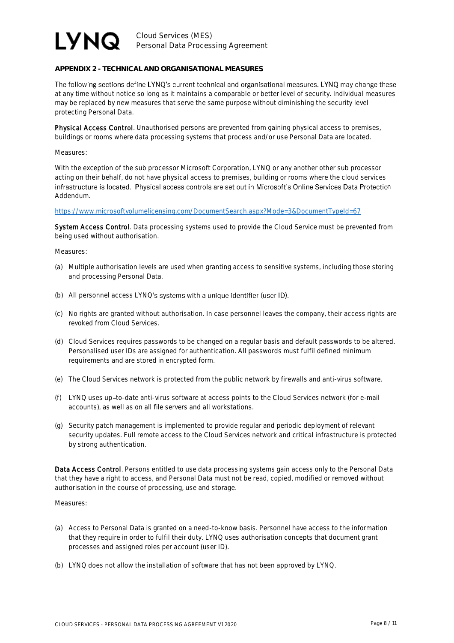# **LYNQ**

Cloud Services (MES) Personal Data Processing Agreement

## **APPENDIX 2 - TECHNICAL AND ORGANISATIONAL MEASURES**

The following sections define LYNQ's current technical and organisational measures. LYNQ may change these at any time without notice so long as it maintains a comparable or better level of security. Individual measures may be replaced by new measures that serve the same purpose without diminishing the security level protecting Personal Data.

Physical Access Control. Unauthorised persons are prevented from gaining physical access to premises, buildings or rooms where data processing systems that process and/or use Personal Data are located.

#### Measures:

With the exception of the sub processor Microsoft Corporation, LYNQ or any another other sub processor acting on their behalf, do not have physical access to premises, building or rooms where the cloud services infrastructure is located. Physical access controls are set out in Microsoft's Online Services Data Protection Addendum.

#### <https://www.microsoftvolumelicensing.com/DocumentSearch.aspx?Mode=3&DocumentTypeId=67>

System Access Control. Data processing systems used to provide the Cloud Service must be prevented from being used without authorisation.

#### Measures:

- (a) Multiple authorisation levels are used when granting access to sensitive systems, including those storing and processing Personal Data.
- (b) All personnel access LYNQ's systems with a unique identifier (user ID).
- (c) No rights are granted without authorisation. In case personnel leaves the company, their access rights are revoked from Cloud Services.
- (d) Cloud Services requires passwords to be changed on a regular basis and default passwords to be altered. Personalised user IDs are assigned for authentication. All passwords must fulfil defined minimum requirements and are stored in encrypted form.
- (e) The Cloud Services network is protected from the public network by firewalls and anti-virus software.
- (f) LYNQ uses up to-date anti-virus software at access points to the Cloud Services network (for e-mail accounts), as well as on all file servers and all workstations.
- (g) Security patch management is implemented to provide regular and periodic deployment of relevant security updates. Full remote access to the Cloud Services network and critical infrastructure is protected by strong authentication.

Data Access Control. Persons entitled to use data processing systems gain access only to the Personal Data that they have a right to access, and Personal Data must not be read, copied, modified or removed without authorisation in the course of processing, use and storage.

#### Measures:

- (a) Access to Personal Data is granted on a need-to-know basis. Personnel have access to the information that they require in order to fulfil their duty. LYNQ uses authorisation concepts that document grant processes and assigned roles per account (user ID).
- (b) LYNQ does not allow the installation of software that has not been approved by LYNQ.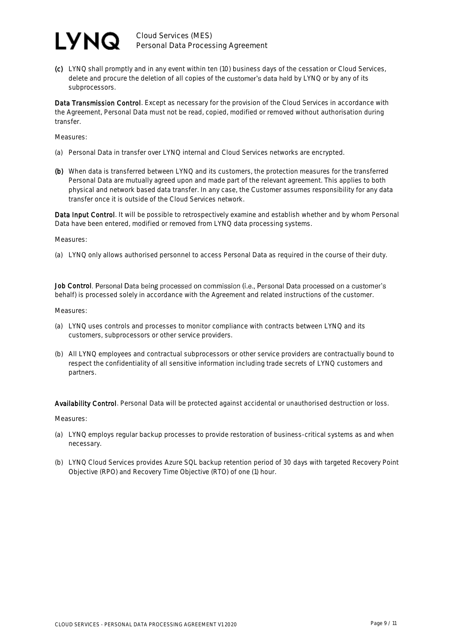## I VNQ.

Cloud Services (MES) Personal Data Processing Agreement

(c) LYNQ shall promptly and in any event within ten (10) business days of the cessation or Cloud Services, delete and procure the deletion of all copies of the customer's data held by LYNQ or by any of its subprocessors.

Data Transmission Control. Except as necessary for the provision of the Cloud Services in accordance with the Agreement, Personal Data must not be read, copied, modified or removed without authorisation during transfer.

Measures:

- (a) Personal Data in transfer over LYNQ internal and Cloud Services networks are encrypted.
- (b) When data is transferred between LYNQ and its customers, the protection measures for the transferred Personal Data are mutually agreed upon and made part of the relevant agreement. This applies to both physical and network based data transfer. In any case, the Customer assumes responsibility for any data transfer once it is outside of the Cloud Services network.

Data Input Control. It will be possible to retrospectively examine and establish whether and by whom Personal Data have been entered, modified or removed from LYNQ data processing systems.

Measures:

(a) LYNQ only allows authorised personnel to access Personal Data as required in the course of their duty.

Job Control. Personal Data being processed on commission (i.e., Personal Data processed on a customer's behalf) is processed solely in accordance with the Agreement and related instructions of the customer.

Measures:

- (a) LYNQ uses controls and processes to monitor compliance with contracts between LYNQ and its customers, subprocessors or other service providers.
- (b) All LYNQ employees and contractual subprocessors or other service providers are contractually bound to respect the confidentiality of all sensitive information including trade secrets of LYNQ customers and partners.

Availability Control. Personal Data will be protected against accidental or unauthorised destruction or loss.

Measures:

- (a) LYNQ employs regular backup processes to provide restoration of business-critical systems as and when necessary.
- (b) LYNQ Cloud Services provides Azure SQL backup retention period of 30 days with targeted Recovery Point Objective (RPO) and Recovery Time Objective (RTO) of one (1) hour.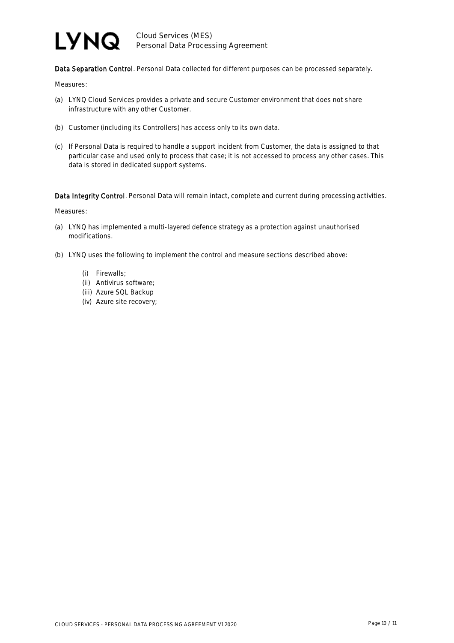# **LYNQ**

Cloud Services (MES) Personal Data Processing Agreement

Data Separation Control. Personal Data collected for different purposes can be processed separately.

Measures:

- (a) LYNQ Cloud Services provides a private and secure Customer environment that does not share infrastructure with any other Customer.
- (b) Customer (including its Controllers) has access only to its own data.
- (c) If Personal Data is required to handle a support incident from Customer, the data is assigned to that particular case and used only to process that case; it is not accessed to process any other cases. This data is stored in dedicated support systems.

Data Integrity Control. Personal Data will remain intact, complete and current during processing activities.

Measures:

- (a) LYNQ has implemented a multi-layered defence strategy as a protection against unauthorised modifications.
- (b) LYNQ uses the following to implement the control and measure sections described above:
	- (i) Firewalls;
	- (ii) Antivirus software;
	- (iii) Azure SQL Backup
	- (iv) Azure site recovery;